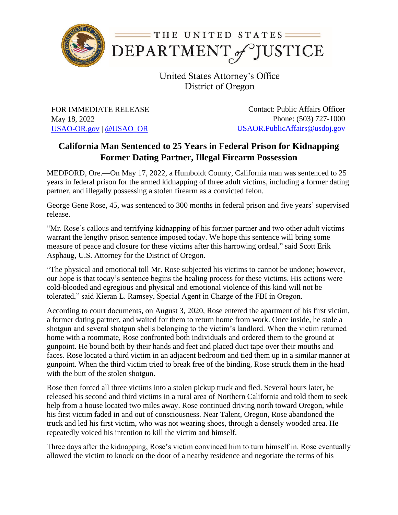

United States Attorney's Office District of Oregon

FOR IMMEDIATE RELEASE May 18, 2022 [USAO-OR.gov](http://www.usdoj.gov/usao/or) | [@USAO\\_OR](https://twitter.com/USAO_OR)

Contact: Public Affairs Officer Phone: (503) 727-1000 [USAOR.PublicAffairs@usdoj.gov](mailto:usaor.publicaffairs@usdoj.gov)

## **California Man Sentenced to 25 Years in Federal Prison for Kidnapping Former Dating Partner, Illegal Firearm Possession**

MEDFORD, Ore.—On May 17, 2022, a Humboldt County, California man was sentenced to 25 years in federal prison for the armed kidnapping of three adult victims, including a former dating partner, and illegally possessing a stolen firearm as a convicted felon.

George Gene Rose, 45, was sentenced to 300 months in federal prison and five years' supervised release.

"Mr. Rose's callous and terrifying kidnapping of his former partner and two other adult victims warrant the lengthy prison sentence imposed today. We hope this sentence will bring some measure of peace and closure for these victims after this harrowing ordeal," said Scott Erik Asphaug, U.S. Attorney for the District of Oregon.

"The physical and emotional toll Mr. Rose subjected his victims to cannot be undone; however, our hope is that today's sentence begins the healing process for these victims. His actions were cold-blooded and egregious and physical and emotional violence of this kind will not be tolerated," said Kieran L. Ramsey, Special Agent in Charge of the FBI in Oregon.

According to court documents, on August 3, 2020, Rose entered the apartment of his first victim, a former dating partner, and waited for them to return home from work. Once inside, he stole a shotgun and several shotgun shells belonging to the victim's landlord. When the victim returned home with a roommate, Rose confronted both individuals and ordered them to the ground at gunpoint. He bound both by their hands and feet and placed duct tape over their mouths and faces. Rose located a third victim in an adjacent bedroom and tied them up in a similar manner at gunpoint. When the third victim tried to break free of the binding, Rose struck them in the head with the butt of the stolen shotgun.

Rose then forced all three victims into a stolen pickup truck and fled. Several hours later, he released his second and third victims in a rural area of Northern California and told them to seek help from a house located two miles away. Rose continued driving north toward Oregon, while his first victim faded in and out of consciousness. Near Talent, Oregon, Rose abandoned the truck and led his first victim, who was not wearing shoes, through a densely wooded area. He repeatedly voiced his intention to kill the victim and himself.

Three days after the kidnapping, Rose's victim convinced him to turn himself in. Rose eventually allowed the victim to knock on the door of a nearby residence and negotiate the terms of his